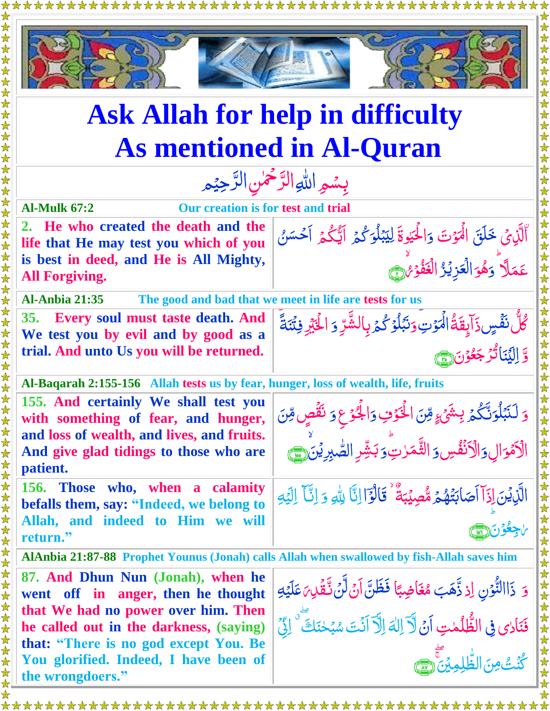

## **Ask Allah for help in difficulty As mentioned in Al-Quran**

ِ<br>ا

**Al-Mulk 67:2 Our creation is for test and trial**

**2. He who created the death and the life that He may test you which of you is best in deed, and He is All Mighty, All Forgiving.**

<u>ُ</u><br>ا **Al-Anbia 21:35 The good and bad that we meet in life are tests for us**

**35. Every soul must taste death. And We test you by evil and by good as a trial. And unto Us you will be returned.**

**Al-Baqarah 2:155-156 Allah tests us by fear, hunger, loss of wealth, life, fruits**

**155. And certainly We shall test you with something of fear, and hunger, and loss of wealth, and lives, and fruits. And give glad tidings to those who are patient.**

**156. Those who, when a calamity befalls them, say: "Indeed, we belong to Allah, and indeed to Him we will return."**

**AlAnbia 21:87-88 Prophet Younus (Jonah) calls Allah when swallowed by fish-Allah saves him**

**87. And Dhun Nun (Jonah), when he went off in anger, then he thought that We had no power over him. Then he called out in the darkness, (saying) that: "There is no god except You. Be You glorified. Indeed, I have been of the wrongdoers."**

َّ وَ لَنَبۡلُوَنَّكُمۡ ہ<br>گ  $\ddot{\phantom{0}}$ <u>َ</u> <sup>ۘ</sup><br>نَبۡبَٰلۡوَنَّکُمۡ بِشَیۡ <sub>کِ</sub>  $\mathfrak{z}$ ֞<u>֓</u> ل مِّنَ الْخَوْفِ<br>م Ž <u>ُ</u><br>ُ وَالْجَوْعِ وَ نَقُصٍ <u>أ</u> ان<br>ا دَ نَقُصٍ مِّنَ<br>ِّ Ž اِل <u>َ</u> الْأَمْوَالِ وَالْأَنْفُسِ ر<br>ٱ <u>ُمُ</u> َّ وَ الثَّمَرٰتِ ٰ ر<br>دولا َّ وَبَشِّرِ الصَّبِرِيْنَ صَلَّى اللَّهُ ب ه

وَالْحَيْوةَ<br>× ٰ

> ֦֞֝֝֝֝<br>֧֚֝<br>֧ <u>ُمُ</u>

َّ

هُوَ الۡعَزِيۡرُ الۡعَفۡوۡمُ لِنَّ

<u>أ</u>

ام<br>ا

الْحَيْوةَ لِيَبْلُوَكُمُّ

ل

بمكو  $\frac{1}{2}$ ֦֞֝֝֝<br>֧֪֧֝֟֝֟֬֟֟֓֬֟׆֧ ِ<br>په

وَنَبُلُوۡ كُمۡ بِالشَّرِّ ۔<br>اگر <u>أ</u>  $\int$ ֪֦֪֦֪֦֪֦֪֦֪֦֧֧֞֞֝֝֝֝֝֝֟֓֞֟֟֓֟֓֞֟֓֟֓֟֓֟֓֞֟֓֟֓<br>֧֧֪֪֪֪֪֪֪֪֪֦֝֟֝֟֝֝

۔<br>گ

لِيَبْلُوَكُمُ اَيُّكُمُ اَحْسَنُ

 $\frac{1}{2}$ 

رِّ j.

ر<br>گ

دَ الْحَكِّرِ فِتُنَةً أَكُمْ

َّالَّذِىْ خَلَقَ الْمَوْتَ<br>ك

َّ و َّ

**ه** 

ڴڵُّ ن*َفّۡسٍ* ذَاۤإِنَّهَٰٓ ۚ اٰ ٱ*ُٓ*ٓٓٓ ۚ ۚ ۚ ۚ ۚ ۖ .<br>ڊ

َّ تُرَجَعُو<u>ْنَ(@)</u> ֦֞֞֝׆<br>֝ <u>وَ</u> ر<br>ُ

 $\tilde{\zeta}$ ل

عَمَلًا

اُ

َّ و ا َّ ن َّي ِ Ï لَما<br>ا ل ا

الَّذِيۡنَ إِذَآ اَصَابَتُهُمۡ ا ۔<br>ا  $\overline{\mathcal{L}}$  $\tilde{\mathcal{L}}$ أَصَابَتُهُمۡ *مُّصِ*يۡبَةُ بَ<br>ب مُّصِيۡبَةُ ؕ قَالۡوَٓاۤ اِنَّاۤ لِللّٰہِ وَ لَما<br>ا **آبا**<br>تعر Ã <u>أ</u> اً<br>ا  $\ddot{\phantom{0}}$ وَ إِنَّا ۖ إِلَيْهِ i<br>I  $\frac{1}{2}$ ر مرد<br>محمد ل ا Ć <u>َ</u> اجِعُوُنَ(إِسْمَا <u>أ</u> <u>ُ</u> ٰ

َّ وَ ذَاالنُّوْنِ إِذ <u>أ</u> نا<br>م  $\ddot{\ddot{\ }}$ ذَّهَبَ مُغَاضِبًا ;<br>; بە<br>ب مُغَاضِبًا فَظَنَّ اَنْ لَّنْ **پر**  $\ddot{\cdot}$  $\tilde{\cdot}$  $\frac{1}{2}$ ٦ ل نَّقَلِ مَلَيْهِ<br>ما ا<br>ا i<br>I  $\tilde{=}$ فَنَادي فِي الظُّلُمٰتِ أَنَّ لَاَّ اِلٰهَ اِلَّآ أَنۡتَ سُبۡحٰنَكَ ۖ الِّيۡ ِرِ<br>مُ ٰ  $\mathfrak{c}$ ú<br>ا ن<br>ُ ٰ ل اُم<br>ا ٰ بَ<br>پ <u>á</u> ا ُت َّ ُكن ن َّۡي مِ ال هظل ۖؕ ِ ِم  $\tilde{\mathbf{u}}$  $\circledR$